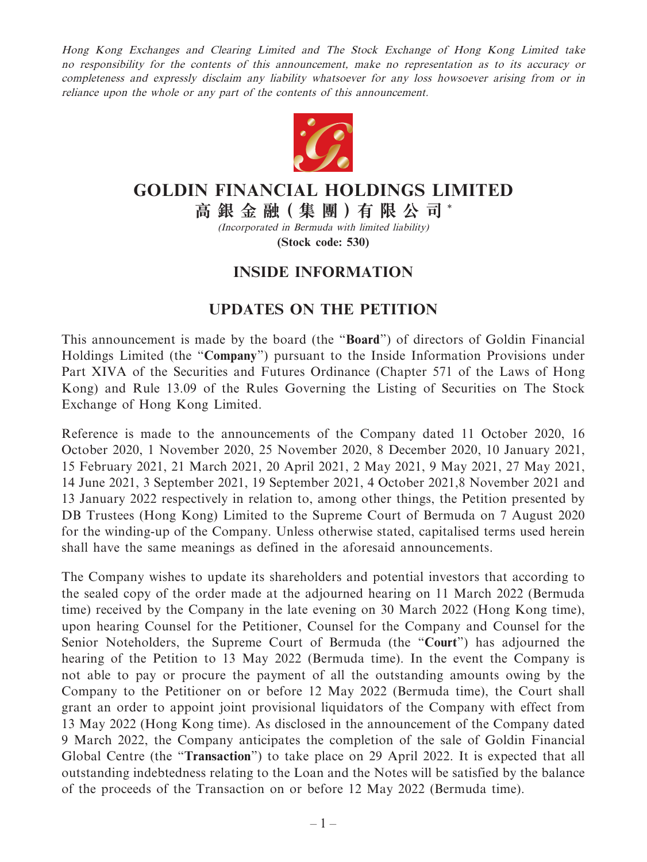Hong Kong Exchanges and Clearing Limited and The Stock Exchange of Hong Kong Limited take no responsibility for the contents of this announcement, make no representation as to its accuracy or completeness and expressly disclaim any liability whatsoever for any loss howsoever arising from or in reliance upon the whole or any part of the contents of this announcement.



## **GOLDIN FINANCIAL HOLDINGS LIMITED**

**高 銀 金 融( 集 團 )有 限 公 司** \*

(Incorporated in Bermuda with limited liability)

**(Stock code: 530)**

## **INSIDE INFORMATION**

## **UPDATES ON THE PETITION**

This announcement is made by the board (the "**Board**") of directors of Goldin Financial Holdings Limited (the "**Company**") pursuant to the Inside Information Provisions under Part XIVA of the Securities and Futures Ordinance (Chapter 571 of the Laws of Hong Kong) and Rule 13.09 of the Rules Governing the Listing of Securities on The Stock Exchange of Hong Kong Limited.

Reference is made to the announcements of the Company dated 11 October 2020, 16 October 2020, 1 November 2020, 25 November 2020, 8 December 2020, 10 January 2021, 15 February 2021, 21 March 2021, 20 April 2021, 2 May 2021, 9 May 2021, 27 May 2021, 14 June 2021, 3 September 2021, 19 September 2021, 4 October 2021,8 November 2021 and 13 January 2022 respectively in relation to, among other things, the Petition presented by DB Trustees (Hong Kong) Limited to the Supreme Court of Bermuda on 7 August 2020 for the winding-up of the Company. Unless otherwise stated, capitalised terms used herein shall have the same meanings as defined in the aforesaid announcements.

The Company wishes to update its shareholders and potential investors that according to the sealed copy of the order made at the adjourned hearing on 11 March 2022 (Bermuda time) received by the Company in the late evening on 30 March 2022 (Hong Kong time), upon hearing Counsel for the Petitioner, Counsel for the Company and Counsel for the Senior Noteholders, the Supreme Court of Bermuda (the "**Court**") has adjourned the hearing of the Petition to 13 May 2022 (Bermuda time). In the event the Company is not able to pay or procure the payment of all the outstanding amounts owing by the Company to the Petitioner on or before 12 May 2022 (Bermuda time), the Court shall grant an order to appoint joint provisional liquidators of the Company with effect from 13 May 2022 (Hong Kong time). As disclosed in the announcement of the Company dated 9 March 2022, the Company anticipates the completion of the sale of Goldin Financial Global Centre (the "**Transaction**") to take place on 29 April 2022. It is expected that all outstanding indebtedness relating to the Loan and the Notes will be satisfied by the balance of the proceeds of the Transaction on or before 12 May 2022 (Bermuda time).